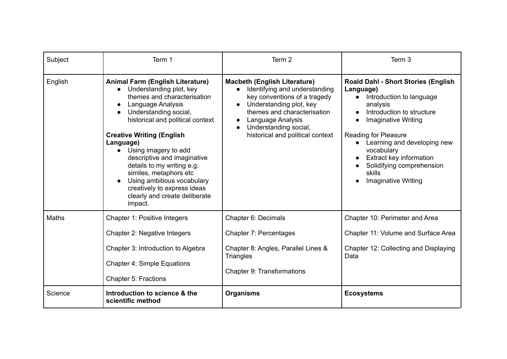| Subject      | Term 1                                                                                                                                                                                                                                                                                                                                                                                                                                                                                 | Term 2                                                                                                                                                                                                                                                                     | Term 3                                                                                                                                                                                                                                                                                                                                              |
|--------------|----------------------------------------------------------------------------------------------------------------------------------------------------------------------------------------------------------------------------------------------------------------------------------------------------------------------------------------------------------------------------------------------------------------------------------------------------------------------------------------|----------------------------------------------------------------------------------------------------------------------------------------------------------------------------------------------------------------------------------------------------------------------------|-----------------------------------------------------------------------------------------------------------------------------------------------------------------------------------------------------------------------------------------------------------------------------------------------------------------------------------------------------|
| English      | <b>Animal Farm (English Literature)</b><br>Understanding plot, key<br>$\bullet$<br>themes and characterisation<br>Language Analysis<br>Understanding social,<br>historical and political context<br><b>Creative Writing (English</b><br>Language)<br>Using imagery to add<br>$\bullet$<br>descriptive and imaginative<br>details to my writing e.g.<br>similes, metaphors etc<br>Using ambitious vocabulary<br>creatively to express ideas<br>clearly and create deliberate<br>impact. | <b>Macbeth (English Literature)</b><br>Identifying and understanding<br>$\bullet$<br>key conventions of a tragedy<br>Understanding plot, key<br>themes and characterisation<br>Language Analysis<br>$\bullet$<br>Understanding social,<br>historical and political context | <b>Roald Dahl - Short Stories (English</b><br>Language)<br>Introduction to language<br>$\bullet$<br>analysis<br>Introduction to structure<br><b>Imaginative Writing</b><br><b>Reading for Pleasure</b><br>Learning and developing new<br>vocabulary<br>Extract key information<br>Solidifying comprehension<br>skills<br><b>Imaginative Writing</b> |
| <b>Maths</b> | Chapter 1: Positive Integers<br>Chapter 2: Negative Integers<br>Chapter 3: Introduction to Algebra<br><b>Chapter 4: Simple Equations</b><br>Chapter 5: Fractions                                                                                                                                                                                                                                                                                                                       | Chapter 6: Decimals<br>Chapter 7: Percentages<br>Chapter 8: Angles, Parallel Lines &<br><b>Triangles</b><br><b>Chapter 9: Transformations</b>                                                                                                                              | Chapter 10: Perimeter and Area<br>Chapter 11: Volume and Surface Area<br>Chapter 12: Collecting and Displaying<br>Data                                                                                                                                                                                                                              |
| Science      | Introduction to science & the<br>scientific method                                                                                                                                                                                                                                                                                                                                                                                                                                     | <b>Organisms</b>                                                                                                                                                                                                                                                           | <b>Ecosystems</b>                                                                                                                                                                                                                                                                                                                                   |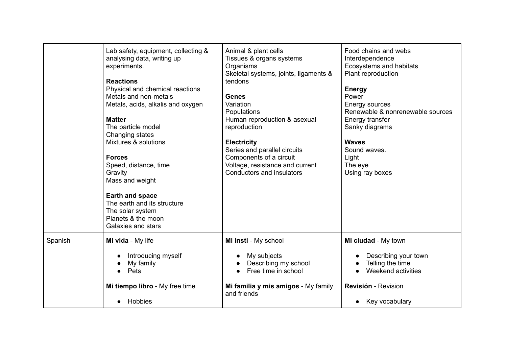|         | Lab safety, equipment, collecting &<br>analysing data, writing up<br>experiments.<br><b>Reactions</b><br>Physical and chemical reactions<br>Metals and non-metals<br>Metals, acids, alkalis and oxygen<br><b>Matter</b><br>The particle model<br>Changing states<br>Mixtures & solutions<br><b>Forces</b><br>Speed, distance, time<br>Gravity<br>Mass and weight<br><b>Earth and space</b><br>The earth and its structure<br>The solar system<br>Planets & the moon<br>Galaxies and stars | Animal & plant cells<br>Tissues & organs systems<br>Organisms<br>Skeletal systems, joints, ligaments &<br>tendons<br><b>Genes</b><br>Variation<br>Populations<br>Human reproduction & asexual<br>reproduction<br><b>Electricity</b><br>Series and parallel circuits<br>Components of a circuit<br>Voltage, resistance and current<br>Conductors and insulators | Food chains and webs<br>Interdependence<br>Ecosystems and habitats<br>Plant reproduction<br><b>Energy</b><br>Power<br>Energy sources<br>Renewable & nonrenewable sources<br>Energy transfer<br>Sanky diagrams<br><b>Waves</b><br>Sound waves.<br>Light<br>The eye<br>Using ray boxes |
|---------|-------------------------------------------------------------------------------------------------------------------------------------------------------------------------------------------------------------------------------------------------------------------------------------------------------------------------------------------------------------------------------------------------------------------------------------------------------------------------------------------|----------------------------------------------------------------------------------------------------------------------------------------------------------------------------------------------------------------------------------------------------------------------------------------------------------------------------------------------------------------|--------------------------------------------------------------------------------------------------------------------------------------------------------------------------------------------------------------------------------------------------------------------------------------|
| Spanish | Mi vida - My life<br>Introducing myself<br>My family<br>Pets<br>Mi tiempo libro - My free time                                                                                                                                                                                                                                                                                                                                                                                            | Mi insti - My school<br>My subjects<br>Describing my school<br>Free time in school<br>Mi familia y mis amigos - My family                                                                                                                                                                                                                                      | Mi ciudad - My town<br>Describing your town<br>Telling the time<br>Weekend activities<br><b>Revisión - Revision</b>                                                                                                                                                                  |
|         | Hobbies                                                                                                                                                                                                                                                                                                                                                                                                                                                                                   | and friends                                                                                                                                                                                                                                                                                                                                                    | Key vocabulary                                                                                                                                                                                                                                                                       |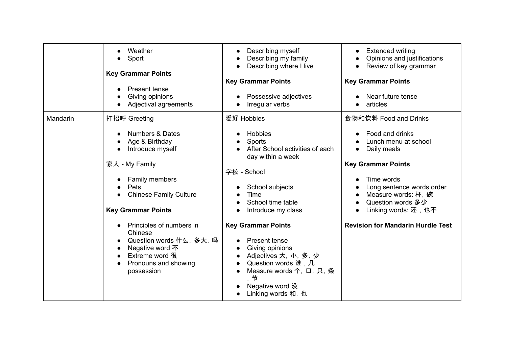|          | Weather<br>Sport<br><b>Key Grammar Points</b><br>Present tense<br>Giving opinions<br>Adjectival agreements                                                                                 | Describing myself<br>Describing my family<br>Describing where I live<br><b>Key Grammar Points</b><br>Possessive adjectives<br>Irregular verbs                                          | <b>Extended writing</b><br>Opinions and justifications<br>Review of key grammar<br><b>Key Grammar Points</b><br>Near future tense<br>articles                                                                              |
|----------|--------------------------------------------------------------------------------------------------------------------------------------------------------------------------------------------|----------------------------------------------------------------------------------------------------------------------------------------------------------------------------------------|----------------------------------------------------------------------------------------------------------------------------------------------------------------------------------------------------------------------------|
| Mandarin | 打招呼 Greeting<br><b>Numbers &amp; Dates</b><br>Age & Birthday<br>Introduce myself<br>家人 - My Family<br>Family members<br>Pets<br><b>Chinese Family Culture</b><br><b>Key Grammar Points</b> | 爱好 Hobbies<br><b>Hobbies</b><br>Sports<br>After School activities of each<br>day within a week<br>学校 - School<br>School subjects<br>Time<br>School time table<br>Introduce my class    | 食物和饮料 Food and Drinks<br>Food and drinks<br>Lunch menu at school<br>Daily meals<br><b>Key Grammar Points</b><br>Time words<br>Long sentence words order<br>Measure words: 杯, 碗<br>Question words 多少<br>Linking words: 还,也不 |
|          | Principles of numbers in<br>Chinese<br>Question words 什么, 多大, 吗<br>Negative word 不<br>Extreme word 很<br>Pronouns and showing<br>possession                                                 | <b>Key Grammar Points</b><br>Present tense<br>Giving opinions<br>Adjectives 大, 小, 多, 少<br>Question words 谁,几<br>Measure words 个, 口, 只, 条<br>节<br>Negative word 没<br>Linking words 和, 也 | <b>Revision for Mandarin Hurdle Test</b>                                                                                                                                                                                   |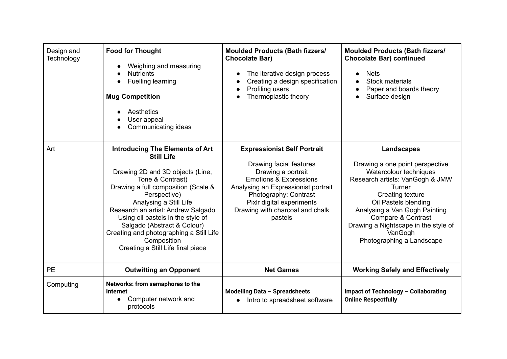| Design and<br>Technology | <b>Food for Thought</b><br>Weighing and measuring<br><b>Nutrients</b><br>Fuelling learning<br><b>Mug Competition</b><br>Aesthetics<br>User appeal<br>Communicating ideas<br>$\bullet$                                                                                                                                                                                                                         | <b>Moulded Products (Bath fizzers/</b><br><b>Chocolate Bar)</b><br>The iterative design process<br>Creating a design specification<br>Profiling users<br>Thermoplastic theory                                                                                       | <b>Moulded Products (Bath fizzers/</b><br><b>Chocolate Bar) continued</b><br><b>Nets</b><br>Stock materials<br>Paper and boards theory<br>Surface design                                                                                                                                                       |
|--------------------------|---------------------------------------------------------------------------------------------------------------------------------------------------------------------------------------------------------------------------------------------------------------------------------------------------------------------------------------------------------------------------------------------------------------|---------------------------------------------------------------------------------------------------------------------------------------------------------------------------------------------------------------------------------------------------------------------|----------------------------------------------------------------------------------------------------------------------------------------------------------------------------------------------------------------------------------------------------------------------------------------------------------------|
| Art                      | <b>Introducing The Elements of Art</b><br><b>Still Life</b><br>Drawing 2D and 3D objects (Line,<br>Tone & Contrast)<br>Drawing a full composition (Scale &<br>Perspective)<br>Analysing a Still Life<br>Research an artist: Andrew Salgado<br>Using oil pastels in the style of<br>Salgado (Abstract & Colour)<br>Creating and photographing a Still Life<br>Composition<br>Creating a Still Life final piece | <b>Expressionist Self Portrait</b><br>Drawing facial features<br>Drawing a portrait<br><b>Emotions &amp; Expressions</b><br>Analysing an Expressionist portrait<br>Photography: Contrast<br>Pixlr digital experiments<br>Drawing with charcoal and chalk<br>pastels | <b>Landscapes</b><br>Drawing a one point perspective<br>Watercolour techniques<br>Research artists: VanGogh & JMW<br>Turner<br>Creating texture<br>Oil Pastels blending<br>Analysing a Van Gogh Painting<br>Compare & Contrast<br>Drawing a Nightscape in the style of<br>VanGogh<br>Photographing a Landscape |
| <b>PE</b>                | <b>Outwitting an Opponent</b>                                                                                                                                                                                                                                                                                                                                                                                 | <b>Net Games</b>                                                                                                                                                                                                                                                    | <b>Working Safely and Effectively</b>                                                                                                                                                                                                                                                                          |
| Computing                | Networks: from semaphores to the<br>Internet<br>Computer network and<br>$\bullet$<br>protocols                                                                                                                                                                                                                                                                                                                | Modelling Data - Spreadsheets<br>Intro to spreadsheet software                                                                                                                                                                                                      | Impact of Technology - Collaborating<br><b>Online Respectfully</b>                                                                                                                                                                                                                                             |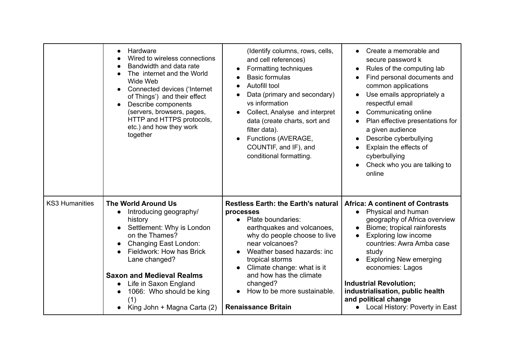|                       | Hardware<br>Wired to wireless connections<br>Bandwidth and data rate<br>The internet and the World<br>Wide Web<br>Connected devices ('Internet<br>of Things') and their effect<br>Describe components<br>(servers, browsers, pages,<br>HTTP and HTTPS protocols,<br>etc.) and how they work<br>together             | (Identify columns, rows, cells,<br>and cell references)<br>Formatting techniques<br>$\bullet$<br><b>Basic formulas</b><br>Autofill tool<br>$\bullet$<br>Data (primary and secondary)<br>vs information<br>Collect, Analyse and interpret<br>$\bullet$<br>data (create charts, sort and<br>filter data).<br>Functions (AVERAGE,<br>COUNTIF, and IF), and<br>conditional formatting. | Create a memorable and<br>secure password k<br>Rules of the computing lab<br>Find personal documents and<br>common applications<br>Use emails appropriately a<br>respectful email<br>Communicating online<br>Plan effective presentations for<br>a given audience<br>Describe cyberbullying<br>Explain the effects of<br>cyberbullying<br>Check who you are talking to<br>$\bullet$<br>online |
|-----------------------|---------------------------------------------------------------------------------------------------------------------------------------------------------------------------------------------------------------------------------------------------------------------------------------------------------------------|------------------------------------------------------------------------------------------------------------------------------------------------------------------------------------------------------------------------------------------------------------------------------------------------------------------------------------------------------------------------------------|-----------------------------------------------------------------------------------------------------------------------------------------------------------------------------------------------------------------------------------------------------------------------------------------------------------------------------------------------------------------------------------------------|
| <b>KS3 Humanities</b> | <b>The World Around Us</b><br>Introducing geography/<br>history<br>Settlement: Why is London<br>on the Thames?<br>Changing East London:<br>Fieldwork: How has Brick<br>Lane changed?<br><b>Saxon and Medieval Realms</b><br>Life in Saxon England<br>1066: Who should be king<br>(1)<br>King John + Magna Carta (2) | <b>Restless Earth: the Earth's natural</b><br>processes<br>Plate boundaries:<br>$\bullet$<br>earthquakes and volcanoes,<br>why do people choose to live<br>near volcanoes?<br>Weather based hazards: inc<br>$\bullet$<br>tropical storms<br>Climate change: what is it<br>and how has the climate<br>changed?<br>How to be more sustainable.<br><b>Renaissance Britain</b>         | <b>Africa: A continent of Contrasts</b><br>Physical and human<br>geography of Africa overview<br>Biome; tropical rainforests<br>Exploring low income<br>countries: Awra Amba case<br>study<br><b>Exploring New emerging</b><br>economies: Lagos<br><b>Industrial Revolution;</b><br>industrialisation, public health<br>and political change<br>Local History: Poverty in East                |